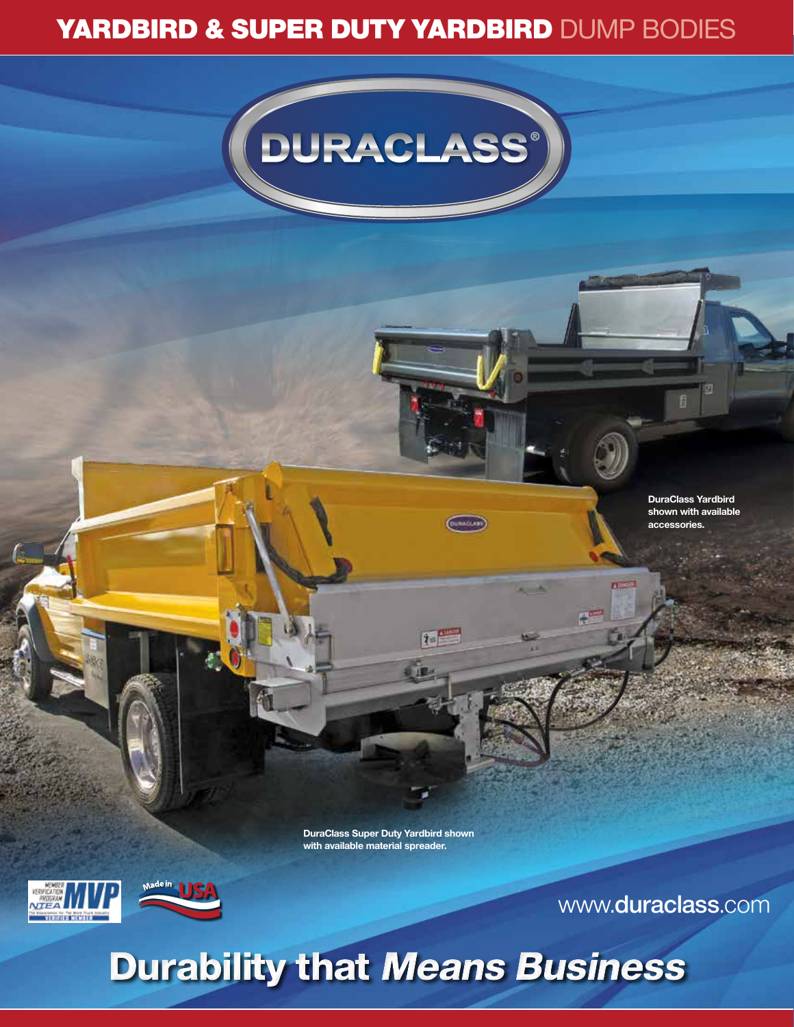## YARDBIRD & SUPER DUTY YARDBIRD DUMP BODIES



**DuraClass Yardbird shown with available accessories.**

個

**DuraClass Super Duty Yardbird shown with available material spreader.**

 $7 - 1$ 





www.**duraclass**.com

## Durability that Means Business